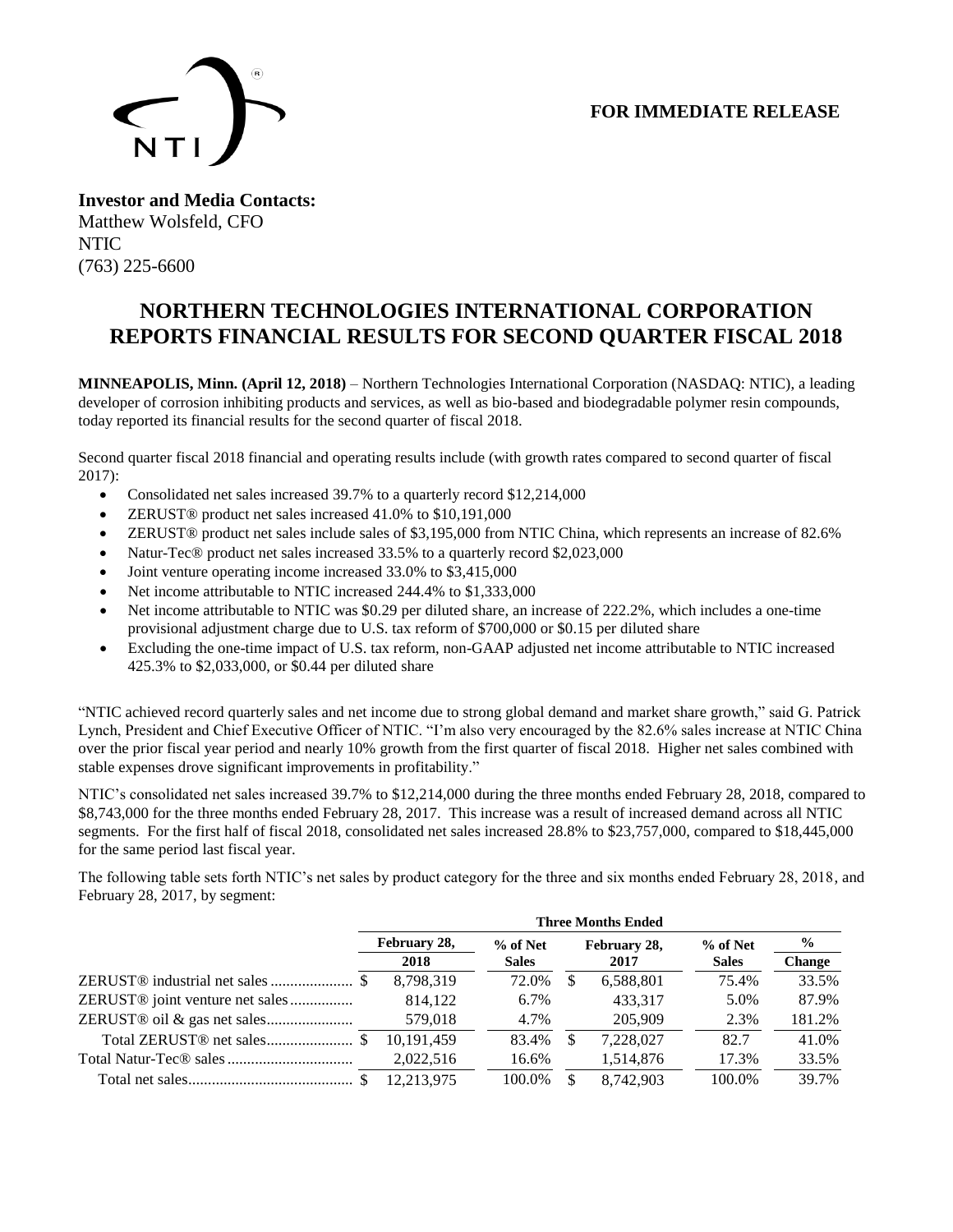## **FOR IMMEDIATE RELEASE**



**Investor and Media Contacts:** Matthew Wolsfeld, CFO NTIC (763) 225-6600

# **NORTHERN TECHNOLOGIES INTERNATIONAL CORPORATION REPORTS FINANCIAL RESULTS FOR SECOND QUARTER FISCAL 2018**

**MINNEAPOLIS, Minn. (April 12, 2018)** – Northern Technologies International Corporation (NASDAQ: NTIC), a leading developer of corrosion inhibiting products and services, as well as bio-based and biodegradable polymer resin compounds, today reported its financial results for the second quarter of fiscal 2018.

Second quarter fiscal 2018 financial and operating results include (with growth rates compared to second quarter of fiscal 2017):

- Consolidated net sales increased 39.7% to a quarterly record \$12,214,000
- ZERUST® product net sales increased 41.0% to \$10,191,000
- ZERUST® product net sales include sales of \$3,195,000 from NTIC China, which represents an increase of 82.6%
- Natur-Tec® product net sales increased 33.5% to a quarterly record \$2,023,000
- Joint venture operating income increased 33.0% to \$3,415,000
- Net income attributable to NTIC increased 244.4% to \$1,333,000
- Net income attributable to NTIC was \$0.29 per diluted share, an increase of 222.2%, which includes a one-time provisional adjustment charge due to U.S. tax reform of \$700,000 or \$0.15 per diluted share
- Excluding the one-time impact of U.S. tax reform, non-GAAP adjusted net income attributable to NTIC increased 425.3% to \$2,033,000, or \$0.44 per diluted share

"NTIC achieved record quarterly sales and net income due to strong global demand and market share growth," said G. Patrick Lynch, President and Chief Executive Officer of NTIC. "I'm also very encouraged by the 82.6% sales increase at NTIC China over the prior fiscal year period and nearly 10% growth from the first quarter of fiscal 2018. Higher net sales combined with stable expenses drove significant improvements in profitability."

NTIC's consolidated net sales increased 39.7% to \$12,214,000 during the three months ended February 28, 2018, compared to \$8,743,000 for the three months ended February 28, 2017. This increase was a result of increased demand across all NTIC segments. For the first half of fiscal 2018, consolidated net sales increased 28.8% to \$23,757,000, compared to \$18,445,000 for the same period last fiscal year.

The following table sets forth NTIC's net sales by product category for the three and six months ended February 28, 2018, and February 28, 2017, by segment:

|                                             | <b>Three Months Ended</b> |              |    |              |              |               |  |
|---------------------------------------------|---------------------------|--------------|----|--------------|--------------|---------------|--|
|                                             | February 28,              | % of Net     |    | February 28, | $%$ of Net   | $\frac{6}{9}$ |  |
|                                             | 2018                      | <b>Sales</b> |    | 2017         | <b>Sales</b> | <b>Change</b> |  |
|                                             | 8,798,319                 | 72.0%        | S. | 6,588,801    | 75.4%        | 33.5%         |  |
| ZERUST <sup>®</sup> joint venture net sales | 814.122                   | 6.7%         |    | 433.317      | 5.0%         | 87.9%         |  |
|                                             | 579,018                   | 4.7%         |    | 205,909      | 2.3%         | 181.2%        |  |
|                                             | 10,191,459                | 83.4%        |    | 7,228,027    | 82.7         | 41.0%         |  |
|                                             | 2,022,516                 | 16.6%        |    | 1,514,876    | 17.3%        | 33.5%         |  |
|                                             | 12.213.975                | 100.0%       |    | 8.742.903    | 100.0%       | 39.7%         |  |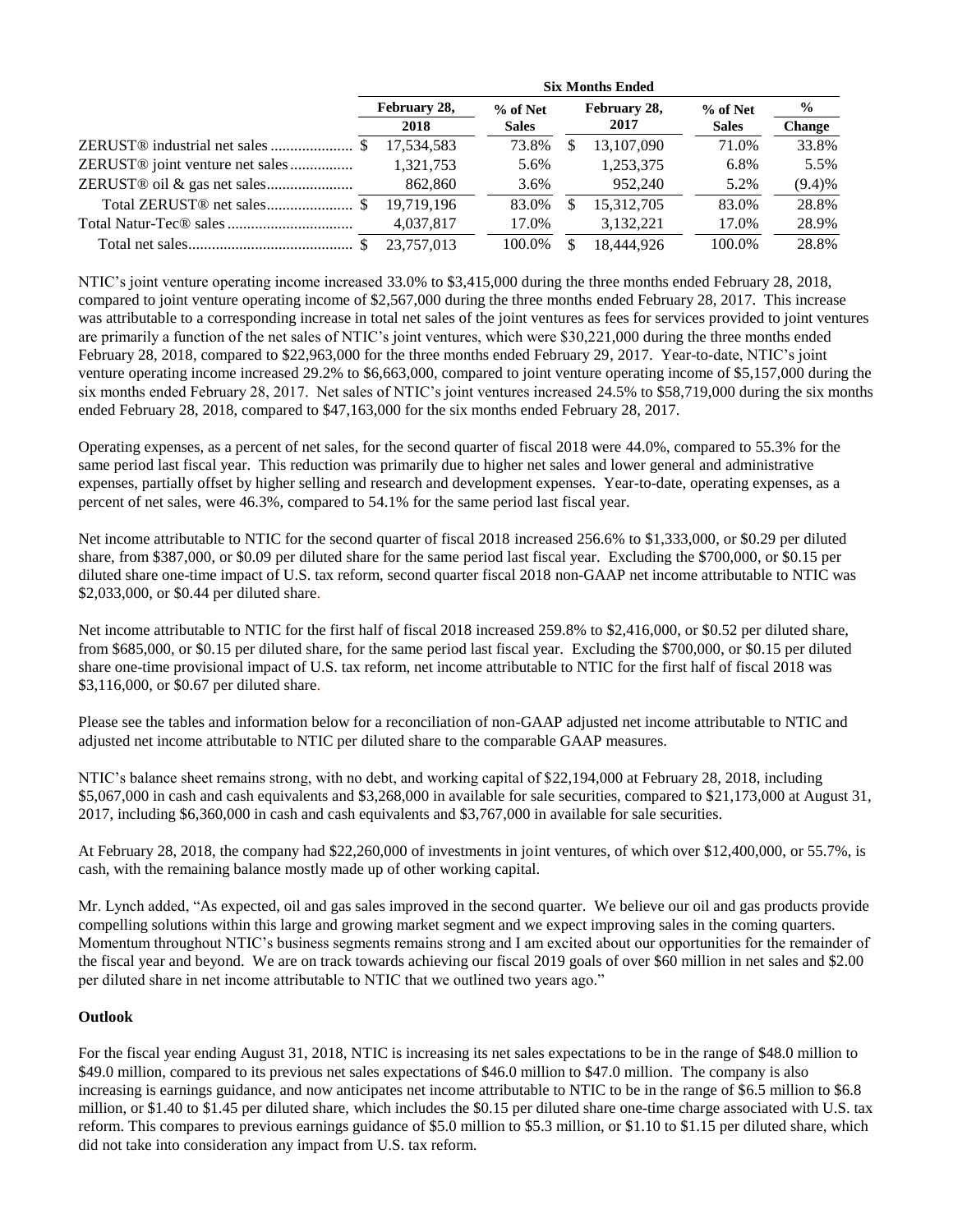|                                             | <b>Six Months Ended</b> |              |   |              |              |               |  |  |
|---------------------------------------------|-------------------------|--------------|---|--------------|--------------|---------------|--|--|
|                                             | February 28,            | % of Net     |   | February 28, | % of Net     | $\frac{6}{9}$ |  |  |
|                                             | 2018                    | <b>Sales</b> |   | 2017         | <b>Sales</b> | <b>Change</b> |  |  |
|                                             | 17.534.583              | 73.8%        |   | 13,107,090   | 71.0%        | 33.8%         |  |  |
| ZERUST <sup>®</sup> joint venture net sales | 1,321,753               | 5.6%         |   | 1,253,375    | 6.8%         | 5.5%          |  |  |
|                                             | 862,860                 | 3.6%         |   | 952,240      | 5.2%         | (9.4)%        |  |  |
|                                             | 19.719.196              | 83.0%        | S | 15,312,705   | 83.0%        | 28.8%         |  |  |
|                                             | 4,037,817               | 17.0%        |   | 3,132,221    | 17.0%        | 28.9%         |  |  |
|                                             | 23,757,013              | 100.0%       |   | 18,444,926   | 100.0%       | 28.8%         |  |  |

NTIC's joint venture operating income increased 33.0% to \$3,415,000 during the three months ended February 28, 2018, compared to joint venture operating income of \$2,567,000 during the three months ended February 28, 2017. This increase was attributable to a corresponding increase in total net sales of the joint ventures as fees for services provided to joint ventures are primarily a function of the net sales of NTIC's joint ventures, which were \$30,221,000 during the three months ended February 28, 2018, compared to \$22,963,000 for the three months ended February 29, 2017. Year-to-date, NTIC's joint venture operating income increased 29.2% to \$6,663,000, compared to joint venture operating income of \$5,157,000 during the six months ended February 28, 2017. Net sales of NTIC's joint ventures increased 24.5% to \$58,719,000 during the six months ended February 28, 2018, compared to \$47,163,000 for the six months ended February 28, 2017.

Operating expenses, as a percent of net sales, for the second quarter of fiscal 2018 were 44.0%, compared to 55.3% for the same period last fiscal year. This reduction was primarily due to higher net sales and lower general and administrative expenses, partially offset by higher selling and research and development expenses. Year-to-date, operating expenses, as a percent of net sales, were 46.3%, compared to 54.1% for the same period last fiscal year.

Net income attributable to NTIC for the second quarter of fiscal 2018 increased 256.6% to \$1,333,000, or \$0.29 per diluted share, from \$387,000, or \$0.09 per diluted share for the same period last fiscal year. Excluding the \$700,000, or \$0.15 per diluted share one-time impact of U.S. tax reform, second quarter fiscal 2018 non-GAAP net income attributable to NTIC was \$2,033,000, or \$0.44 per diluted share.

Net income attributable to NTIC for the first half of fiscal 2018 increased 259.8% to \$2,416,000, or \$0.52 per diluted share, from \$685,000, or \$0.15 per diluted share, for the same period last fiscal year. Excluding the \$700,000, or \$0.15 per diluted share one-time provisional impact of U.S. tax reform, net income attributable to NTIC for the first half of fiscal 2018 was \$3,116,000, or \$0.67 per diluted share.

Please see the tables and information below for a reconciliation of non-GAAP adjusted net income attributable to NTIC and adjusted net income attributable to NTIC per diluted share to the comparable GAAP measures.

NTIC's balance sheet remains strong, with no debt, and working capital of \$22,194,000 at February 28, 2018, including \$5,067,000 in cash and cash equivalents and \$3,268,000 in available for sale securities, compared to \$21,173,000 at August 31, 2017, including \$6,360,000 in cash and cash equivalents and \$3,767,000 in available for sale securities.

At February 28, 2018, the company had \$22,260,000 of investments in joint ventures, of which over \$12,400,000, or 55.7%, is cash, with the remaining balance mostly made up of other working capital.

Mr. Lynch added, "As expected, oil and gas sales improved in the second quarter. We believe our oil and gas products provide compelling solutions within this large and growing market segment and we expect improving sales in the coming quarters. Momentum throughout NTIC's business segments remains strong and I am excited about our opportunities for the remainder of the fiscal year and beyond. We are on track towards achieving our fiscal 2019 goals of over \$60 million in net sales and \$2.00 per diluted share in net income attributable to NTIC that we outlined two years ago."

#### **Outlook**

For the fiscal year ending August 31, 2018, NTIC is increasing its net sales expectations to be in the range of \$48.0 million to \$49.0 million, compared to its previous net sales expectations of \$46.0 million to \$47.0 million. The company is also increasing is earnings guidance, and now anticipates net income attributable to NTIC to be in the range of \$6.5 million to \$6.8 million, or \$1.40 to \$1.45 per diluted share, which includes the \$0.15 per diluted share one-time charge associated with U.S. tax reform. This compares to previous earnings guidance of \$5.0 million to \$5.3 million, or \$1.10 to \$1.15 per diluted share, which did not take into consideration any impact from U.S. tax reform.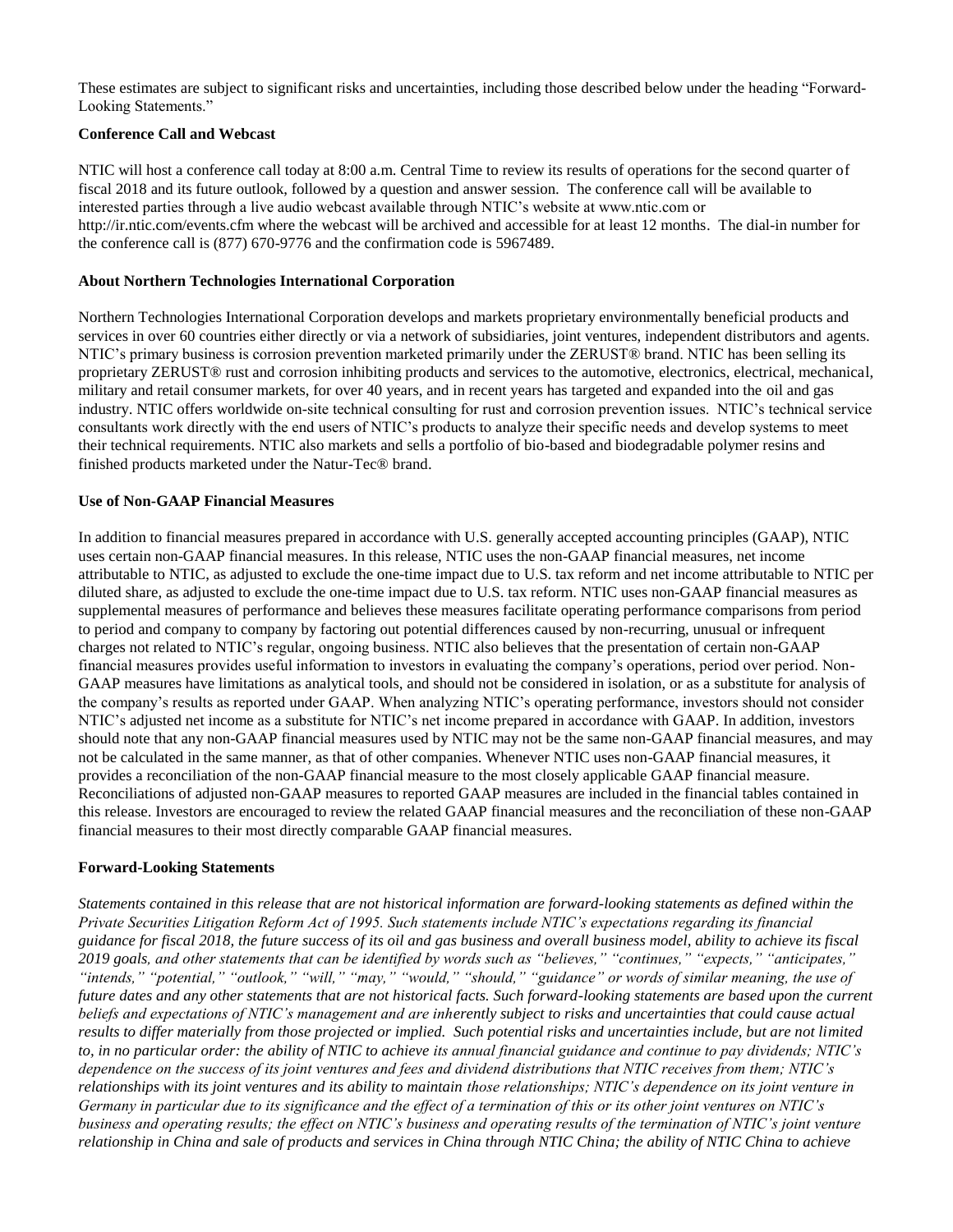These estimates are subject to significant risks and uncertainties, including those described below under the heading "Forward-Looking Statements."

#### **Conference Call and Webcast**

NTIC will host a conference call today at 8:00 a.m. Central Time to review its results of operations for the second quarter of fiscal 2018 and its future outlook, followed by a question and answer session. The conference call will be available to interested parties through a live audio webcast available through NTIC's website at www.ntic.com or http://ir.ntic.com/events.cfm where the webcast will be archived and accessible for at least 12 months. The dial-in number for the conference call is (877) 670-9776 and the confirmation code is 5967489.

#### **About Northern Technologies International Corporation**

Northern Technologies International Corporation develops and markets proprietary environmentally beneficial products and services in over 60 countries either directly or via a network of subsidiaries, joint ventures, independent distributors and agents. NTIC's primary business is corrosion prevention marketed primarily under the ZERUST® brand. NTIC has been selling its proprietary ZERUST® rust and corrosion inhibiting products and services to the automotive, electronics, electrical, mechanical, military and retail consumer markets, for over 40 years, and in recent years has targeted and expanded into the oil and gas industry. NTIC offers worldwide on-site technical consulting for rust and corrosion prevention issues. NTIC's technical service consultants work directly with the end users of NTIC's products to analyze their specific needs and develop systems to meet their technical requirements. NTIC also markets and sells a portfolio of bio-based and biodegradable polymer resins and finished products marketed under the Natur-Tec® brand.

#### **Use of Non-GAAP Financial Measures**

In addition to financial measures prepared in accordance with U.S. generally accepted accounting principles (GAAP), NTIC uses certain non-GAAP financial measures. In this release, NTIC uses the non-GAAP financial measures, net income attributable to NTIC, as adjusted to exclude the one-time impact due to U.S. tax reform and net income attributable to NTIC per diluted share, as adjusted to exclude the one-time impact due to U.S. tax reform. NTIC uses non-GAAP financial measures as supplemental measures of performance and believes these measures facilitate operating performance comparisons from period to period and company to company by factoring out potential differences caused by non-recurring, unusual or infrequent charges not related to NTIC's regular, ongoing business. NTIC also believes that the presentation of certain non-GAAP financial measures provides useful information to investors in evaluating the company's operations, period over period. Non-GAAP measures have limitations as analytical tools, and should not be considered in isolation, or as a substitute for analysis of the company's results as reported under GAAP. When analyzing NTIC's operating performance, investors should not consider NTIC's adjusted net income as a substitute for NTIC's net income prepared in accordance with GAAP. In addition, investors should note that any non-GAAP financial measures used by NTIC may not be the same non-GAAP financial measures, and may not be calculated in the same manner, as that of other companies. Whenever NTIC uses non-GAAP financial measures, it provides a reconciliation of the non-GAAP financial measure to the most closely applicable GAAP financial measure. Reconciliations of adjusted non-GAAP measures to reported GAAP measures are included in the financial tables contained in this release. Investors are encouraged to review the related GAAP financial measures and the reconciliation of these non-GAAP financial measures to their most directly comparable GAAP financial measures.

#### **Forward-Looking Statements**

*Statements contained in this release that are not historical information are forward-looking statements as defined within the Private Securities Litigation Reform Act of 1995. Such statements include NTIC's expectations regarding its financial guidance for fiscal 2018, the future success of its oil and gas business and overall business model, ability to achieve its fiscal 2019 goals, and other statements that can be identified by words such as "believes," "continues," "expects," "anticipates," "intends," "potential," "outlook," "will," "may," "would," "should," "guidance" or words of similar meaning, the use of future dates and any other statements that are not historical facts. Such forward-looking statements are based upon the current beliefs and expectations of NTIC's management and are inherently subject to risks and uncertainties that could cause actual results to differ materially from those projected or implied. Such potential risks and uncertainties include, but are not limited to, in no particular order: the ability of NTIC to achieve its annual financial guidance and continue to pay dividends; NTIC's dependence on the success of its joint ventures and fees and dividend distributions that NTIC receives from them; NTIC's relationships with its joint ventures and its ability to maintain those relationships; NTIC's dependence on its joint venture in Germany in particular due to its significance and the effect of a termination of this or its other joint ventures on NTIC's business and operating results; the effect on NTIC's business and operating results of the termination of NTIC's joint venture relationship in China and sale of products and services in China through NTIC China; the ability of NTIC China to achieve*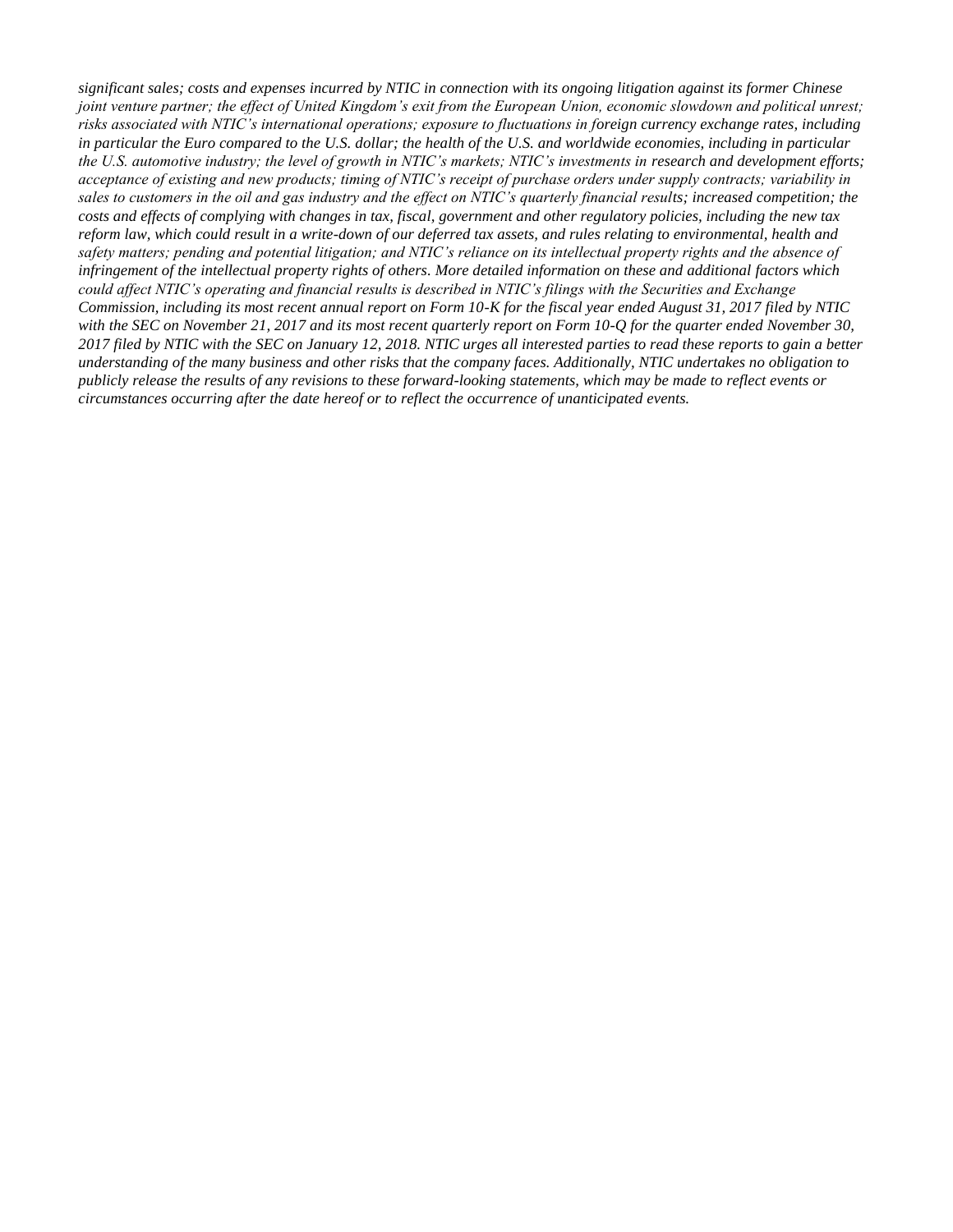*significant sales; costs and expenses incurred by NTIC in connection with its ongoing litigation against its former Chinese joint venture partner; the effect of United Kingdom's exit from the European Union, economic slowdown and political unrest; risks associated with NTIC's international operations; exposure to fluctuations in foreign currency exchange rates, including in particular the Euro compared to the U.S. dollar; the health of the U.S. and worldwide economies, including in particular the U.S. automotive industry; the level of growth in NTIC's markets; NTIC's investments in research and development efforts; acceptance of existing and new products; timing of NTIC's receipt of purchase orders under supply contracts; variability in sales to customers in the oil and gas industry and the effect on NTIC's quarterly financial results; increased competition; the costs and effects of complying with changes in tax, fiscal, government and other regulatory policies, including the new tax reform law, which could result in a write-down of our deferred tax assets, and rules relating to environmental, health and safety matters; pending and potential litigation; and NTIC's reliance on its intellectual property rights and the absence of infringement of the intellectual property rights of others. More detailed information on these and additional factors which could affect NTIC's operating and financial results is described in NTIC's filings with the Securities and Exchange Commission, including its most recent annual report on Form 10-K for the fiscal year ended August 31, 2017 filed by NTIC with the SEC on November 21, 2017 and its most recent quarterly report on Form 10-Q for the quarter ended November 30, 2017 filed by NTIC with the SEC on January 12, 2018. NTIC urges all interested parties to read these reports to gain a better understanding of the many business and other risks that the company faces. Additionally, NTIC undertakes no obligation to publicly release the results of any revisions to these forward-looking statements, which may be made to reflect events or circumstances occurring after the date hereof or to reflect the occurrence of unanticipated events.*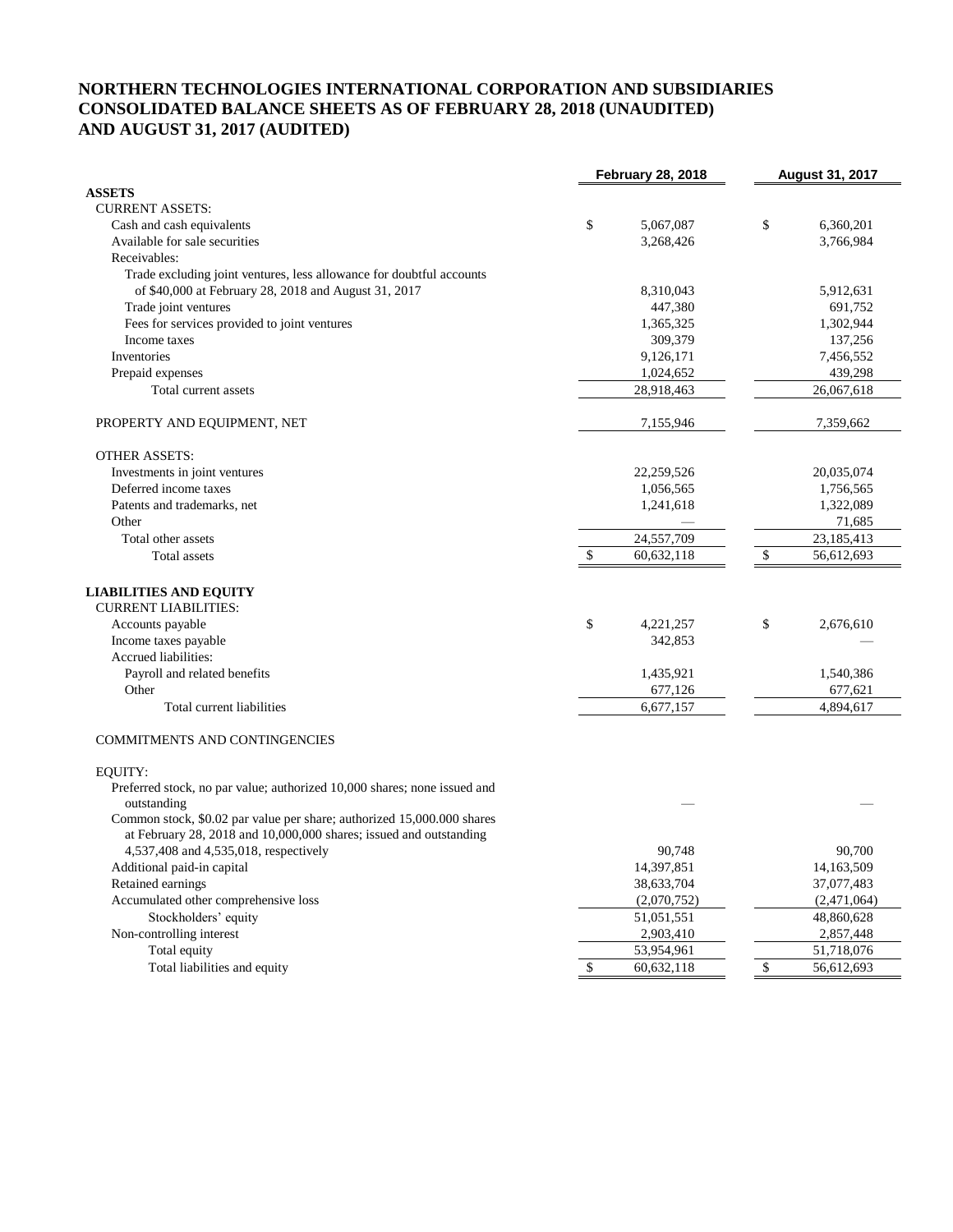## **NORTHERN TECHNOLOGIES INTERNATIONAL CORPORATION AND SUBSIDIARIES CONSOLIDATED BALANCE SHEETS AS OF FEBRUARY 28, 2018 (UNAUDITED) AND AUGUST 31, 2017 (AUDITED)**

|                                                                          | <b>February 28, 2018</b> | <b>August 31, 2017</b> |  |  |
|--------------------------------------------------------------------------|--------------------------|------------------------|--|--|
| <b>ASSETS</b>                                                            |                          |                        |  |  |
| <b>CURRENT ASSETS:</b>                                                   |                          |                        |  |  |
| Cash and cash equivalents                                                | \$<br>5,067,087          | \$<br>6,360,201        |  |  |
| Available for sale securities                                            | 3,268,426                | 3,766,984              |  |  |
| Receivables:                                                             |                          |                        |  |  |
| Trade excluding joint ventures, less allowance for doubtful accounts     |                          |                        |  |  |
| of \$40,000 at February 28, 2018 and August 31, 2017                     | 8,310,043                | 5,912,631              |  |  |
| Trade joint ventures                                                     | 447,380                  | 691,752                |  |  |
| Fees for services provided to joint ventures                             | 1,365,325                | 1,302,944              |  |  |
| Income taxes                                                             | 309,379                  | 137,256                |  |  |
| Inventories                                                              | 9,126,171                | 7,456,552              |  |  |
| Prepaid expenses                                                         | 1,024,652                | 439,298                |  |  |
| Total current assets                                                     | 28,918,463               | 26,067,618             |  |  |
| PROPERTY AND EQUIPMENT, NET                                              | 7,155,946                | 7,359,662              |  |  |
| <b>OTHER ASSETS:</b>                                                     |                          |                        |  |  |
| Investments in joint ventures                                            | 22,259,526               | 20,035,074             |  |  |
| Deferred income taxes                                                    | 1,056,565                | 1,756,565              |  |  |
| Patents and trademarks, net                                              | 1,241,618                | 1,322,089              |  |  |
| Other                                                                    |                          | 71,685                 |  |  |
| Total other assets                                                       | 24,557,709               | 23,185,413             |  |  |
| Total assets                                                             | 60,632,118<br>\$         | 56,612,693<br>\$       |  |  |
|                                                                          |                          |                        |  |  |
| <b>LIABILITIES AND EQUITY</b>                                            |                          |                        |  |  |
| <b>CURRENT LIABILITIES:</b>                                              |                          |                        |  |  |
| Accounts payable                                                         | \$<br>4,221,257          | \$<br>2,676,610        |  |  |
| Income taxes payable                                                     | 342,853                  |                        |  |  |
| Accrued liabilities:                                                     |                          |                        |  |  |
| Payroll and related benefits                                             | 1,435,921                | 1,540,386              |  |  |
| Other                                                                    | 677,126                  | 677,621                |  |  |
| Total current liabilities                                                | 6,677,157                | 4,894,617              |  |  |
|                                                                          |                          |                        |  |  |
| <b>COMMITMENTS AND CONTINGENCIES</b>                                     |                          |                        |  |  |
| <b>EQUITY:</b>                                                           |                          |                        |  |  |
| Preferred stock, no par value; authorized 10,000 shares; none issued and |                          |                        |  |  |
| outstanding                                                              |                          |                        |  |  |
| Common stock, \$0.02 par value per share; authorized 15,000.000 shares   |                          |                        |  |  |
| at February 28, 2018 and 10,000,000 shares; issued and outstanding       |                          |                        |  |  |
| 4,537,408 and 4,535,018, respectively                                    | 90,748                   | 90,700                 |  |  |
| Additional paid-in capital                                               | 14,397,851               | 14,163,509             |  |  |
| Retained earnings                                                        | 38,633,704               | 37,077,483             |  |  |
| Accumulated other comprehensive loss                                     | (2,070,752)              | (2,471,064)            |  |  |
| Stockholders' equity                                                     | 51,051,551               | 48,860,628             |  |  |
| Non-controlling interest                                                 | 2,903,410                | 2,857,448              |  |  |
| Total equity                                                             | 53,954,961               | 51,718,076             |  |  |
| Total liabilities and equity                                             | \$<br>60,632,118         | \$<br>56,612,693       |  |  |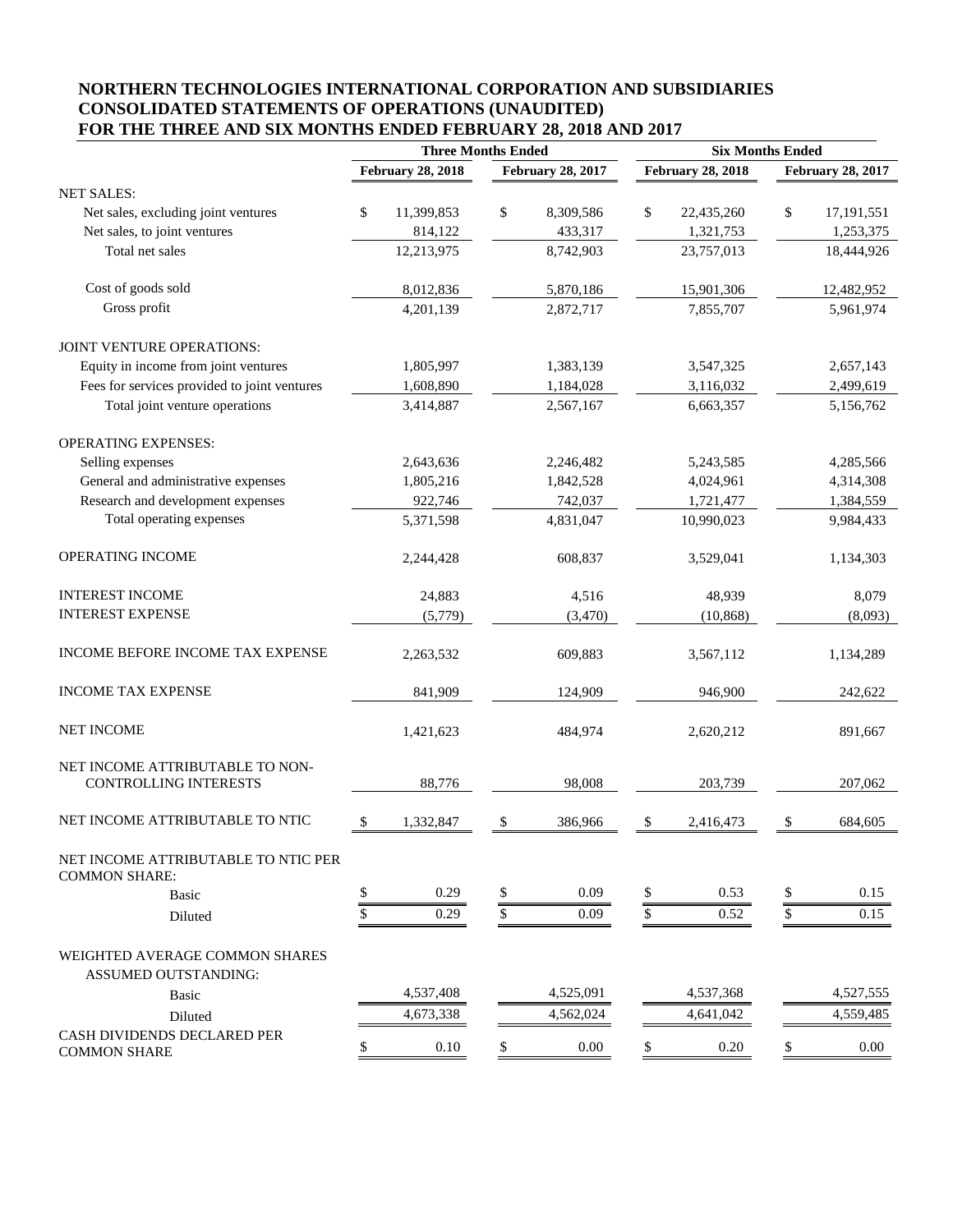## **NORTHERN TECHNOLOGIES INTERNATIONAL CORPORATION AND SUBSIDIARIES CONSOLIDATED STATEMENTS OF OPERATIONS (UNAUDITED) FOR THE THREE AND SIX MONTHS ENDED FEBRUARY 28, 2018 AND 2017**

|                                                                 | <b>Three Months Ended</b> |                          |                 |                          | <b>Six Months Ended</b> |                          |  |
|-----------------------------------------------------------------|---------------------------|--------------------------|-----------------|--------------------------|-------------------------|--------------------------|--|
|                                                                 | <b>February 28, 2018</b>  | <b>February 28, 2017</b> |                 | <b>February 28, 2018</b> |                         | <b>February 28, 2017</b> |  |
| <b>NET SALES:</b>                                               |                           |                          |                 |                          |                         |                          |  |
| Net sales, excluding joint ventures                             | \$<br>11,399,853          | \$<br>8,309,586          | \$              | 22,435,260               | \$                      | 17,191,551               |  |
| Net sales, to joint ventures                                    | 814,122                   | 433,317                  |                 | 1,321,753                |                         | 1,253,375                |  |
| Total net sales                                                 | 12,213,975                | 8,742,903                |                 | 23,757,013               |                         | 18,444,926               |  |
| Cost of goods sold                                              | 8,012,836                 | 5,870,186                |                 | 15,901,306               |                         | 12,482,952               |  |
| Gross profit                                                    | 4,201,139                 | 2,872,717                |                 | 7,855,707                |                         | 5,961,974                |  |
| JOINT VENTURE OPERATIONS:                                       |                           |                          |                 |                          |                         |                          |  |
| Equity in income from joint ventures                            | 1,805,997                 | 1,383,139                |                 | 3,547,325                |                         | 2,657,143                |  |
| Fees for services provided to joint ventures                    | 1,608,890                 | 1,184,028                |                 | 3,116,032                |                         | 2,499,619                |  |
| Total joint venture operations                                  | 3,414,887                 | 2,567,167                |                 | 6,663,357                |                         | 5,156,762                |  |
| <b>OPERATING EXPENSES:</b>                                      |                           |                          |                 |                          |                         |                          |  |
| Selling expenses                                                | 2,643,636                 | 2,246,482                |                 | 5,243,585                |                         | 4,285,566                |  |
| General and administrative expenses                             | 1,805,216                 | 1,842,528                |                 | 4,024,961                |                         | 4,314,308                |  |
| Research and development expenses                               | 922,746                   | 742,037                  |                 | 1,721,477                |                         | 1,384,559                |  |
| Total operating expenses                                        | 5,371,598                 | 4,831,047                |                 | 10,990,023               |                         | 9,984,433                |  |
| OPERATING INCOME                                                | 2,244,428                 | 608,837                  |                 | 3,529,041                |                         | 1,134,303                |  |
| <b>INTEREST INCOME</b>                                          | 24,883                    | 4,516                    |                 | 48,939                   |                         | 8,079                    |  |
| <b>INTEREST EXPENSE</b>                                         | (5,779)                   | (3,470)                  |                 | (10, 868)                |                         | (8,093)                  |  |
| INCOME BEFORE INCOME TAX EXPENSE                                | 2,263,532                 | 609,883                  |                 | 3,567,112                |                         | 1,134,289                |  |
| <b>INCOME TAX EXPENSE</b>                                       | 841,909                   | 124,909                  |                 | 946,900                  |                         | 242,622                  |  |
| <b>NET INCOME</b>                                               | 1,421,623                 | 484,974                  |                 | 2,620,212                |                         | 891,667                  |  |
| NET INCOME ATTRIBUTABLE TO NON-<br><b>CONTROLLING INTERESTS</b> | 88,776                    | 98,008                   |                 | 203.739                  |                         | 207,062                  |  |
| NET INCOME ATTRIBUTABLE TO NTIC                                 | \$<br>1,332,847           | \$<br>386,966            | \$              | 2,416,473                | \$                      | 684,605                  |  |
| NET INCOME ATTRIBUTABLE TO NTIC PER<br><b>COMMON SHARE:</b>     |                           |                          |                 |                          |                         |                          |  |
| Basic                                                           | \$<br>0.29                | \$<br>0.09               | \$              | 0.53                     | \$                      | 0.15                     |  |
| Diluted                                                         | \$<br>0.29                | \$<br>0.09               | $\overline{\$}$ | 0.52                     | $\overline{\S}$         | 0.15                     |  |
| WEIGHTED AVERAGE COMMON SHARES<br>ASSUMED OUTSTANDING:          |                           |                          |                 |                          |                         |                          |  |
| <b>Basic</b>                                                    | 4,537,408                 | 4,525,091                |                 | 4,537,368                |                         | 4,527,555                |  |
| Diluted                                                         | 4,673,338                 | 4,562,024                |                 | 4,641,042                |                         | 4,559,485                |  |
| CASH DIVIDENDS DECLARED PER<br><b>COMMON SHARE</b>              | \$<br>$0.10\,$            | \$<br>$0.00\,$           | \$              | 0.20                     | \$                      | $0.00\,$                 |  |